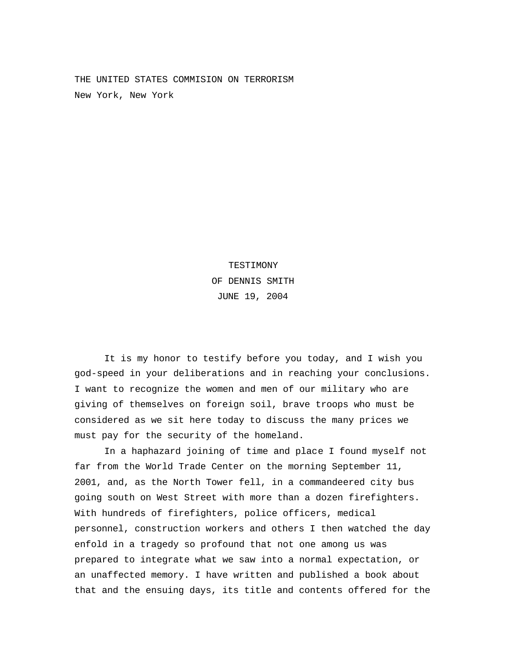THE UNITED STATES COMMISION ON TERRORISM New York, New York

> TESTIMONY OF DENNIS SMITH JUNE 19, 2004

It is my honor to testify before you today, and I wish you god-speed in your deliberations and in reaching your conclusions. I want to recognize the women and men of our military who are giving of themselves on foreign soil, brave troops who must be considered as we sit here today to discuss the many prices we must pay for the security of the homeland.

In a haphazard joining of time and place I found myself not far from the World Trade Center on the morning September 11, 2001, and, as the North Tower fell, in a commandeered city bus going south on West Street with more than a dozen firefighters. With hundreds of firefighters, police officers, medical personnel, construction workers and others I then watched the day enfold in a tragedy so profound that not one among us was prepared to integrate what we saw into a normal expectation, or an unaffected memory. I have written and published a book about that and the ensuing days, its title and contents offered for the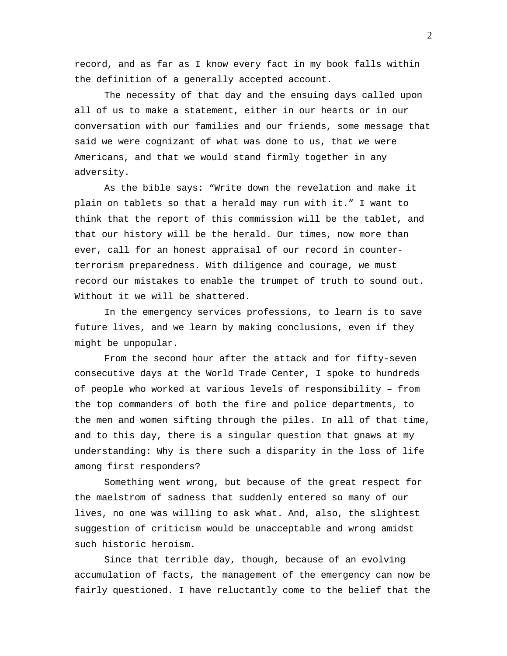record, and as far as I know every fact in my book falls within the definition of a generally accepted account.

The necessity of that day and the ensuing days called upon all of us to make a statement, either in our hearts or in our conversation with our families and our friends, some message that said we were cognizant of what was done to us, that we were Americans, and that we would stand firmly together in any adversity.

As the bible says: "Write down the revelation and make it plain on tablets so that a herald may run with it." I want to think that the report of this commission will be the tablet, and that our history will be the herald. Our times, now more than ever, call for an honest appraisal of our record in counterterrorism preparedness. With diligence and courage, we must record our mistakes to enable the trumpet of truth to sound out. Without it we will be shattered.

In the emergency services professions, to learn is to save future lives, and we learn by making conclusions, even if they might be unpopular.

From the second hour after the attack and for fifty-seven consecutive days at the World Trade Center, I spoke to hundreds of people who worked at various levels of responsibility – from the top commanders of both the fire and police departments, to the men and women sifting through the piles. In all of that time, and to this day, there is a singular question that gnaws at my understanding: Why is there such a disparity in the loss of life among first responders?

Something went wrong, but because of the great respect for the maelstrom of sadness that suddenly entered so many of our lives, no one was willing to ask what. And, also, the slightest suggestion of criticism would be unacceptable and wrong amidst such historic heroism.

Since that terrible day, though, because of an evolving accumulation of facts, the management of the emergency can now be fairly questioned. I have reluctantly come to the belief that the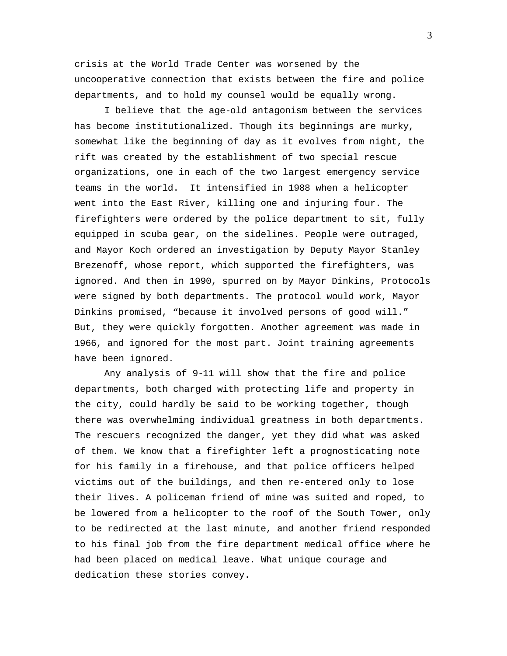crisis at the World Trade Center was worsened by the uncooperative connection that exists between the fire and police departments, and to hold my counsel would be equally wrong.

I believe that the age-old antagonism between the services has become institutionalized. Though its beginnings are murky, somewhat like the beginning of day as it evolves from night, the rift was created by the establishment of two special rescue organizations, one in each of the two largest emergency service teams in the world. It intensified in 1988 when a helicopter went into the East River, killing one and injuring four. The firefighters were ordered by the police department to sit, fully equipped in scuba gear, on the sidelines. People were outraged, and Mayor Koch ordered an investigation by Deputy Mayor Stanley Brezenoff, whose report, which supported the firefighters, was ignored. And then in 1990, spurred on by Mayor Dinkins, Protocols were signed by both departments. The protocol would work, Mayor Dinkins promised, "because it involved persons of good will." But, they were quickly forgotten. Another agreement was made in 1966, and ignored for the most part. Joint training agreements have been ignored.

Any analysis of 9-11 will show that the fire and police departments, both charged with protecting life and property in the city, could hardly be said to be working together, though there was overwhelming individual greatness in both departments. The rescuers recognized the danger, yet they did what was asked of them. We know that a firefighter left a prognosticating note for his family in a firehouse, and that police officers helped victims out of the buildings, and then re-entered only to lose their lives. A policeman friend of mine was suited and roped, to be lowered from a helicopter to the roof of the South Tower, only to be redirected at the last minute, and another friend responded to his final job from the fire department medical office where he had been placed on medical leave. What unique courage and dedication these stories convey.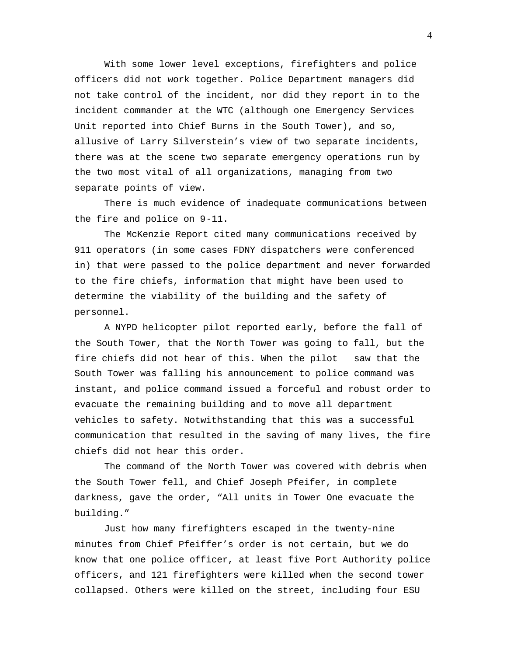With some lower level exceptions, firefighters and police officers did not work together. Police Department managers did not take control of the incident, nor did they report in to the incident commander at the WTC (although one Emergency Services Unit reported into Chief Burns in the South Tower), and so, allusive of Larry Silverstein's view of two separate incidents, there was at the scene two separate emergency operations run by the two most vital of all organizations, managing from two separate points of view.

There is much evidence of inadequate communications between the fire and police on 9-11.

The McKenzie Report cited many communications received by 911 operators (in some cases FDNY dispatchers were conferenced in) that were passed to the police department and never forwarded to the fire chiefs, information that might have been used to determine the viability of the building and the safety of personnel.

A NYPD helicopter pilot reported early, before the fall of the South Tower, that the North Tower was going to fall, but the fire chiefs did not hear of this. When the pilot saw that the South Tower was falling his announcement to police command was instant, and police command issued a forceful and robust order to evacuate the remaining building and to move all department vehicles to safety. Notwithstanding that this was a successful communication that resulted in the saving of many lives, the fire chiefs did not hear this order.

The command of the North Tower was covered with debris when the South Tower fell, and Chief Joseph Pfeifer, in complete darkness, gave the order, "All units in Tower One evacuate the building."

Just how many firefighters escaped in the twenty-nine minutes from Chief Pfeiffer's order is not certain, but we do know that one police officer, at least five Port Authority police officers, and 121 firefighters were killed when the second tower collapsed. Others were killed on the street, including four ESU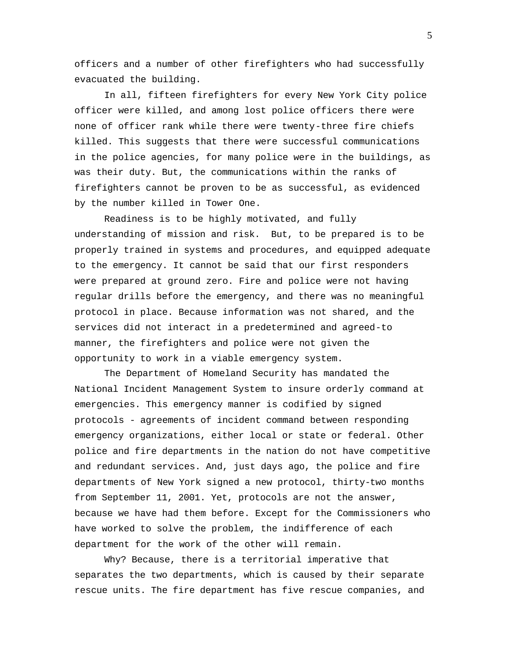officers and a number of other firefighters who had successfully evacuated the building.

In all, fifteen firefighters for every New York City police officer were killed, and among lost police officers there were none of officer rank while there were twenty-three fire chiefs killed. This suggests that there were successful communications in the police agencies, for many police were in the buildings, as was their duty. But, the communications within the ranks of firefighters cannot be proven to be as successful, as evidenced by the number killed in Tower One.

Readiness is to be highly motivated, and fully understanding of mission and risk. But, to be prepared is to be properly trained in systems and procedures, and equipped adequate to the emergency. It cannot be said that our first responders were prepared at ground zero. Fire and police were not having regular drills before the emergency, and there was no meaningful protocol in place. Because information was not shared, and the services did not interact in a predetermined and agreed-to manner, the firefighters and police were not given the opportunity to work in a viable emergency system.

The Department of Homeland Security has mandated the National Incident Management System to insure orderly command at emergencies. This emergency manner is codified by signed protocols - agreements of incident command between responding emergency organizations, either local or state or federal. Other police and fire departments in the nation do not have competitive and redundant services. And, just days ago, the police and fire departments of New York signed a new protocol, thirty-two months from September 11, 2001. Yet, protocols are not the answer, because we have had them before. Except for the Commissioners who have worked to solve the problem, the indifference of each department for the work of the other will remain.

Why? Because, there is a territorial imperative that separates the two departments, which is caused by their separate rescue units. The fire department has five rescue companies, and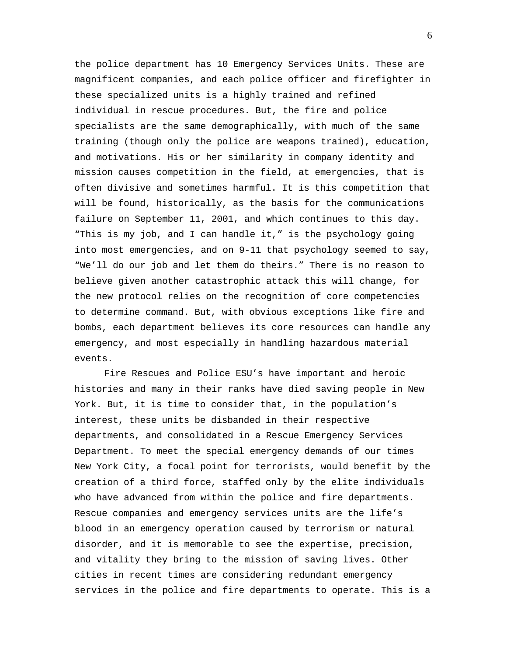the police department has 10 Emergency Services Units. These are magnificent companies, and each police officer and firefighter in these specialized units is a highly trained and refined individual in rescue procedures. But, the fire and police specialists are the same demographically, with much of the same training (though only the police are weapons trained), education, and motivations. His or her similarity in company identity and mission causes competition in the field, at emergencies, that is often divisive and sometimes harmful. It is this competition that will be found, historically, as the basis for the communications failure on September 11, 2001, and which continues to this day. "This is my job, and I can handle it," is the psychology going into most emergencies, and on 9-11 that psychology seemed to say, "We'll do our job and let them do theirs." There is no reason to believe given another catastrophic attack this will change, for the new protocol relies on the recognition of core competencies to determine command. But, with obvious exceptions like fire and bombs, each department believes its core resources can handle any emergency, and most especially in handling hazardous material events.

Fire Rescues and Police ESU's have important and heroic histories and many in their ranks have died saving people in New York. But, it is time to consider that, in the population's interest, these units be disbanded in their respective departments, and consolidated in a Rescue Emergency Services Department. To meet the special emergency demands of our times New York City, a focal point for terrorists, would benefit by the creation of a third force, staffed only by the elite individuals who have advanced from within the police and fire departments. Rescue companies and emergency services units are the life's blood in an emergency operation caused by terrorism or natural disorder, and it is memorable to see the expertise, precision, and vitality they bring to the mission of saving lives. Other cities in recent times are considering redundant emergency services in the police and fire departments to operate. This is a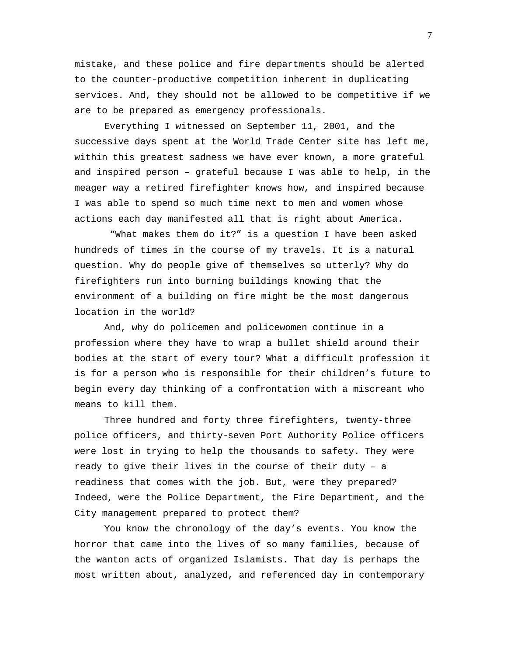mistake, and these police and fire departments should be alerted to the counter-productive competition inherent in duplicating services. And, they should not be allowed to be competitive if we are to be prepared as emergency professionals.

Everything I witnessed on September 11, 2001, and the successive days spent at the World Trade Center site has left me, within this greatest sadness we have ever known, a more grateful and inspired person – grateful because I was able to help, in the meager way a retired firefighter knows how, and inspired because I was able to spend so much time next to men and women whose actions each day manifested all that is right about America.

 "What makes them do it?" is a question I have been asked hundreds of times in the course of my travels. It is a natural question. Why do people give of themselves so utterly? Why do firefighters run into burning buildings knowing that the environment of a building on fire might be the most dangerous location in the world?

And, why do policemen and policewomen continue in a profession where they have to wrap a bullet shield around their bodies at the start of every tour? What a difficult profession it is for a person who is responsible for their children's future to begin every day thinking of a confrontation with a miscreant who means to kill them.

Three hundred and forty three firefighters, twenty-three police officers, and thirty-seven Port Authority Police officers were lost in trying to help the thousands to safety. They were ready to give their lives in the course of their duty – a readiness that comes with the job. But, were they prepared? Indeed, were the Police Department, the Fire Department, and the City management prepared to protect them?

You know the chronology of the day's events. You know the horror that came into the lives of so many families, because of the wanton acts of organized Islamists. That day is perhaps the most written about, analyzed, and referenced day in contemporary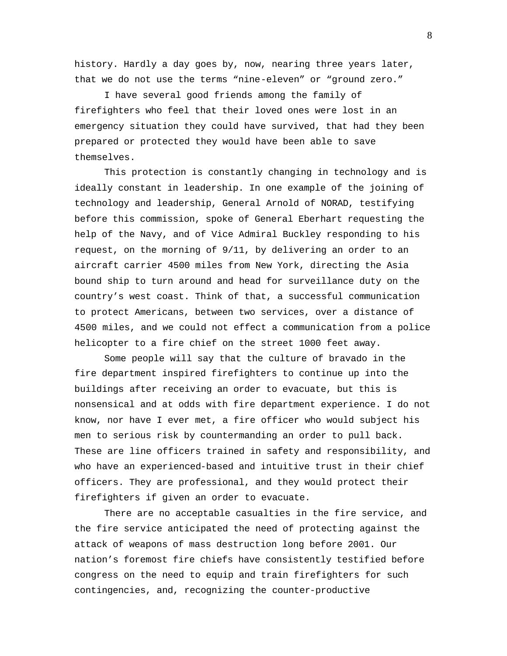history. Hardly a day goes by, now, nearing three years later, that we do not use the terms "nine-eleven" or "ground zero."

I have several good friends among the family of firefighters who feel that their loved ones were lost in an emergency situation they could have survived, that had they been prepared or protected they would have been able to save themselves.

This protection is constantly changing in technology and is ideally constant in leadership. In one example of the joining of technology and leadership, General Arnold of NORAD, testifying before this commission, spoke of General Eberhart requesting the help of the Navy, and of Vice Admiral Buckley responding to his request, on the morning of 9/11, by delivering an order to an aircraft carrier 4500 miles from New York, directing the Asia bound ship to turn around and head for surveillance duty on the country's west coast. Think of that, a successful communication to protect Americans, between two services, over a distance of 4500 miles, and we could not effect a communication from a police helicopter to a fire chief on the street 1000 feet away.

Some people will say that the culture of bravado in the fire department inspired firefighters to continue up into the buildings after receiving an order to evacuate, but this is nonsensical and at odds with fire department experience. I do not know, nor have I ever met, a fire officer who would subject his men to serious risk by countermanding an order to pull back. These are line officers trained in safety and responsibility, and who have an experienced-based and intuitive trust in their chief officers. They are professional, and they would protect their firefighters if given an order to evacuate.

There are no acceptable casualties in the fire service, and the fire service anticipated the need of protecting against the attack of weapons of mass destruction long before 2001. Our nation's foremost fire chiefs have consistently testified before congress on the need to equip and train firefighters for such contingencies, and, recognizing the counter-productive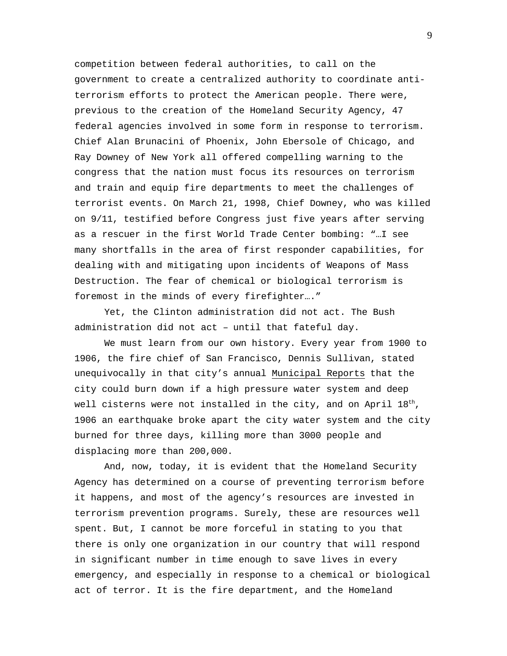competition between federal authorities, to call on the government to create a centralized authority to coordinate antiterrorism efforts to protect the American people. There were, previous to the creation of the Homeland Security Agency, 47 federal agencies involved in some form in response to terrorism. Chief Alan Brunacini of Phoenix, John Ebersole of Chicago, and Ray Downey of New York all offered compelling warning to the congress that the nation must focus its resources on terrorism and train and equip fire departments to meet the challenges of terrorist events. On March 21, 1998, Chief Downey, who was killed on 9/11, testified before Congress just five years after serving as a rescuer in the first World Trade Center bombing: "…I see many shortfalls in the area of first responder capabilities, for dealing with and mitigating upon incidents of Weapons of Mass Destruction. The fear of chemical or biological terrorism is foremost in the minds of every firefighter…."

Yet, the Clinton administration did not act. The Bush administration did not act – until that fateful day.

We must learn from our own history. Every year from 1900 to 1906, the fire chief of San Francisco, Dennis Sullivan, stated unequivocally in that city's annual Municipal Reports that the city could burn down if a high pressure water system and deep well cisterns were not installed in the city, and on April  $18^{\text{th}}$ , 1906 an earthquake broke apart the city water system and the city burned for three days, killing more than 3000 people and displacing more than 200,000.

And, now, today, it is evident that the Homeland Security Agency has determined on a course of preventing terrorism before it happens, and most of the agency's resources are invested in terrorism prevention programs. Surely, these are resources well spent. But, I cannot be more forceful in stating to you that there is only one organization in our country that will respond in significant number in time enough to save lives in every emergency, and especially in response to a chemical or biological act of terror. It is the fire department, and the Homeland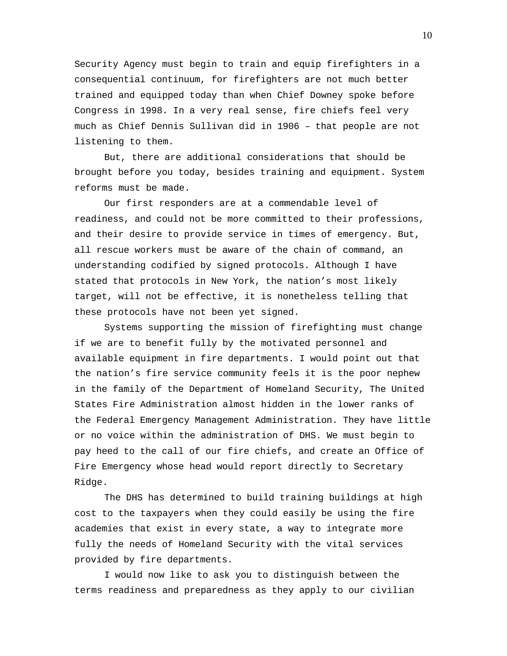Security Agency must begin to train and equip firefighters in a consequential continuum, for firefighters are not much better trained and equipped today than when Chief Downey spoke before Congress in 1998. In a very real sense, fire chiefs feel very much as Chief Dennis Sullivan did in 1906 – that people are not listening to them.

But, there are additional considerations that should be brought before you today, besides training and equipment. System reforms must be made.

Our first responders are at a commendable level of readiness, and could not be more committed to their professions, and their desire to provide service in times of emergency. But, all rescue workers must be aware of the chain of command, an understanding codified by signed protocols. Although I have stated that protocols in New York, the nation's most likely target, will not be effective, it is nonetheless telling that these protocols have not been yet signed.

Systems supporting the mission of firefighting must change if we are to benefit fully by the motivated personnel and available equipment in fire departments. I would point out that the nation's fire service community feels it is the poor nephew in the family of the Department of Homeland Security, The United States Fire Administration almost hidden in the lower ranks of the Federal Emergency Management Administration. They have little or no voice within the administration of DHS. We must begin to pay heed to the call of our fire chiefs, and create an Office of Fire Emergency whose head would report directly to Secretary Ridge.

The DHS has determined to build training buildings at high cost to the taxpayers when they could easily be using the fire academies that exist in every state, a way to integrate more fully the needs of Homeland Security with the vital services provided by fire departments.

I would now like to ask you to distinguish between the terms readiness and preparedness as they apply to our civilian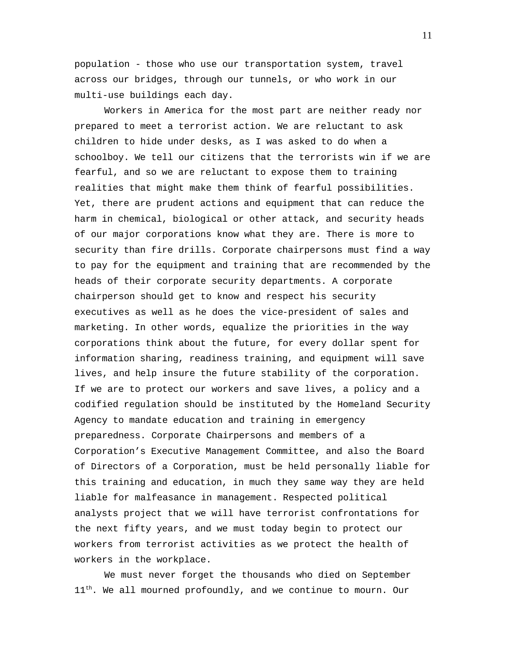population - those who use our transportation system, travel across our bridges, through our tunnels, or who work in our multi-use buildings each day.

Workers in America for the most part are neither ready nor prepared to meet a terrorist action. We are reluctant to ask children to hide under desks, as I was asked to do when a schoolboy. We tell our citizens that the terrorists win if we are fearful, and so we are reluctant to expose them to training realities that might make them think of fearful possibilities. Yet, there are prudent actions and equipment that can reduce the harm in chemical, biological or other attack, and security heads of our major corporations know what they are. There is more to security than fire drills. Corporate chairpersons must find a way to pay for the equipment and training that are recommended by the heads of their corporate security departments. A corporate chairperson should get to know and respect his security executives as well as he does the vice-president of sales and marketing. In other words, equalize the priorities in the way corporations think about the future, for every dollar spent for information sharing, readiness training, and equipment will save lives, and help insure the future stability of the corporation. If we are to protect our workers and save lives, a policy and a codified regulation should be instituted by the Homeland Security Agency to mandate education and training in emergency preparedness. Corporate Chairpersons and members of a Corporation's Executive Management Committee, and also the Board of Directors of a Corporation, must be held personally liable for this training and education, in much they same way they are held liable for malfeasance in management. Respected political analysts project that we will have terrorist confrontations for the next fifty years, and we must today begin to protect our workers from terrorist activities as we protect the health of workers in the workplace.

We must never forget the thousands who died on September  $11<sup>th</sup>$ . We all mourned profoundly, and we continue to mourn. Our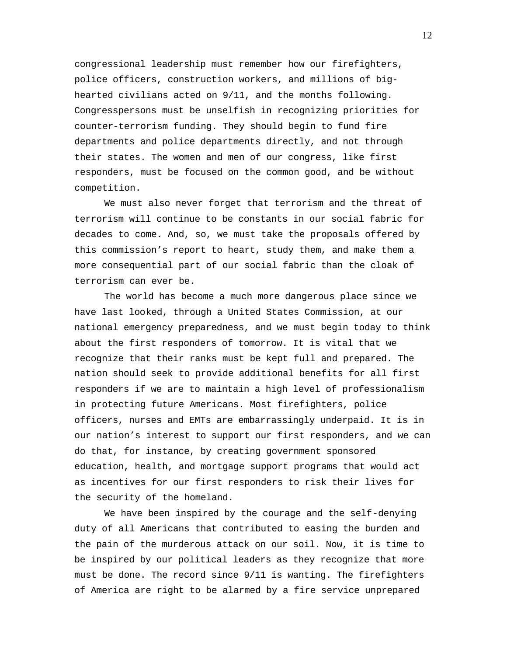congressional leadership must remember how our firefighters, police officers, construction workers, and millions of bighearted civilians acted on 9/11, and the months following. Congresspersons must be unselfish in recognizing priorities for counter-terrorism funding. They should begin to fund fire departments and police departments directly, and not through their states. The women and men of our congress, like first responders, must be focused on the common good, and be without competition.

We must also never forget that terrorism and the threat of terrorism will continue to be constants in our social fabric for decades to come. And, so, we must take the proposals offered by this commission's report to heart, study them, and make them a more consequential part of our social fabric than the cloak of terrorism can ever be.

The world has become a much more dangerous place since we have last looked, through a United States Commission, at our national emergency preparedness, and we must begin today to think about the first responders of tomorrow. It is vital that we recognize that their ranks must be kept full and prepared. The nation should seek to provide additional benefits for all first responders if we are to maintain a high level of professionalism in protecting future Americans. Most firefighters, police officers, nurses and EMTs are embarrassingly underpaid. It is in our nation's interest to support our first responders, and we can do that, for instance, by creating government sponsored education, health, and mortgage support programs that would act as incentives for our first responders to risk their lives for the security of the homeland.

We have been inspired by the courage and the self-denying duty of all Americans that contributed to easing the burden and the pain of the murderous attack on our soil. Now, it is time to be inspired by our political leaders as they recognize that more must be done. The record since 9/11 is wanting. The firefighters of America are right to be alarmed by a fire service unprepared